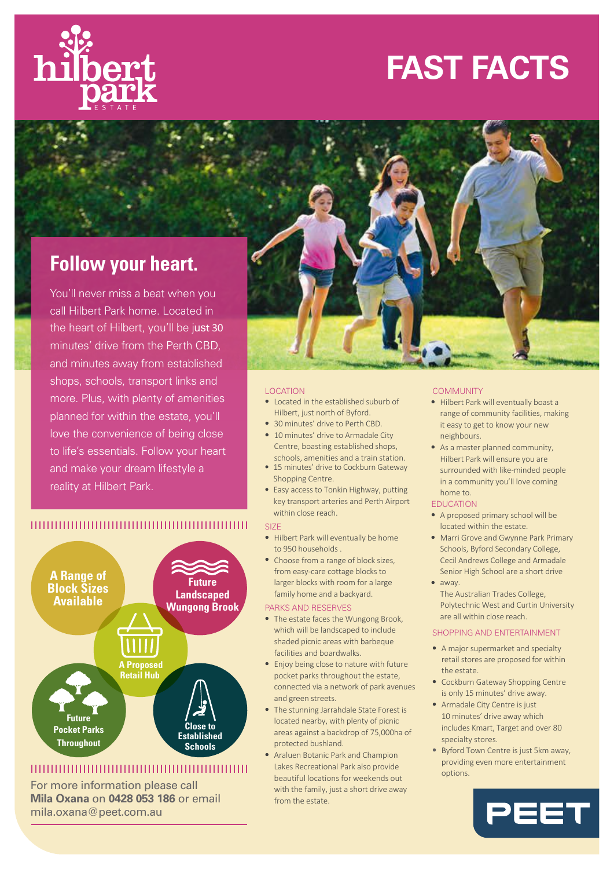

# **FAST FACTS**

# **Follow your heart.**

You'll never miss a beat when you call Hilbert Park home. Located in the heart of Hilbert, you'll be just 30 minutes' drive from the Perth CBD, and minutes away from established shops, schools, transport links and more. Plus, with plenty of amenities planned for within the estate, you'll love the convenience of being close to life's essentials. Follow your heart and make your dream lifestyle a reality at Hilbert Park.

### 



## ,,,,,,,,,,,,,,,,,,,,,,,,,,,

For more information please call **Mila Oxana** on **0428 053 186** or email mila.oxana@peet.com.au



#### LOCATION

- Located in the established suburb of Hilbert, just north of Byford.
- 30 minutes' drive to Perth CBD.
- 10 minutes' drive to Armadale City Centre, boasting established shops, schools, amenities and a train station.
- 15 minutes' drive to Cockburn Gateway Shopping Centre.
- Easy access to Tonkin Highway, putting key transport arteries and Perth Airport within close reach.

#### **SIZE**

- Hilbert Park will eventually be home to 950 households .
- Choose from a range of block sizes, from easy-care cottage blocks to larger blocks with room for a large family home and a backyard.

#### PARKS AND RESERVES

- The estate faces the Wungong Brook, which will be landscaped to include shaded picnic areas with barbeque facilities and boardwalks.
- Enjoy being close to nature with future pocket parks throughout the estate, connected via a network of park avenues and green streets.
- The stunning Jarrahdale State Forest is located nearby, with plenty of picnic areas against a backdrop of 75,000ha of protected bushland.
- Araluen Botanic Park and Champion Lakes Recreational Park also provide beautiful locations for weekends out with the family, just a short drive away from the estate.

#### **COMMUNITY**

- Hilbert Park will eventually boast a range of community facilities, making it easy to get to know your new neighbours.
- As a master planned community, Hilbert Park will ensure you are surrounded with like-minded people in a community you'll love coming home to.

#### **EDUCATION**

- A proposed primary school will be located within the estate.
- Marri Grove and Gwynne Park Primary • away. Schools, Byford Secondary College, Cecil Andrews College and Armadale Senior High School are a short drive
	- The Australian Trades College, Polytechnic West and Curtin University are all within close reach.

#### SHOPPING AND ENTERTAINMENT

- A major supermarket and specialty retail stores are proposed for within the estate.
- Cockburn Gateway Shopping Centre is only 15 minutes' drive away.
- Armadale City Centre is just 10 minutes' drive away which includes Kmart, Target and over 80 specialty stores.
- Byford Town Centre is just 5km away, providing even more entertainment options.